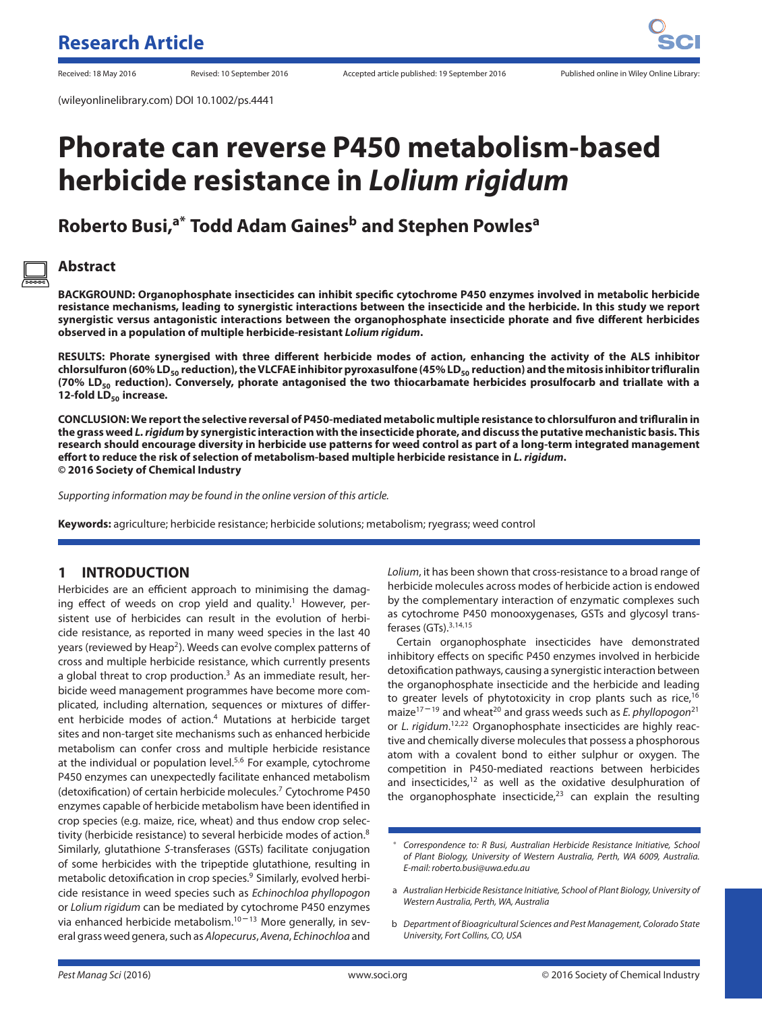# **Phorate can reverse P450 metabolism-based herbicide resistance in** *Lolium rigidum*

## **Roberto Busi,a\* Todd Adam Gainesb and Stephen Powles<sup>a</sup>**

## **Abstract**

**BACKGROUND: Organophosphate insecticides can inhibit specific cytochrome P450 enzymes involved in metabolic herbicide resistance mechanisms, leading to synergistic interactions between the insecticide and the herbicide. In this study we report synergistic versus antagonistic interactions between the organophosphate insecticide phorate and five different herbicides observed in a population of multiple herbicide-resistant** *Lolium rigidum***.**

**RESULTS: Phorate synergised with three different herbicide modes of action, enhancing the activity of the ALS inhibitor chlorsulfuron (60% LD50 reduction), the VLCFAEinhibitor pyroxasulfone (45% LD50 reduction) and themitosisinhibitor trifluralin (70% LD50 reduction). Conversely, phorate antagonised the two thiocarbamate herbicides prosulfocarb and triallate with a 12-fold LD<sub>50</sub> increase.** 

**CONCLUSION: We report the selective reversal of P450-mediated metabolic multiple resistance to chlorsulfuron and trifluralin in the grass weed** *L. rigidum* **by synergistic interaction with the insecticide phorate, and discuss the putative mechanistic basis. This research should encourage diversity in herbicide use patterns for weed control as part of a long-term integrated management effort to reduce the risk of selection of metabolism-based multiple herbicide resistance in** *L. rigidum***. © 2016 Society of Chemical Industry**

Supporting information may be found in the online version of this article.

**Keywords:** agriculture; herbicide resistance; herbicide solutions; metabolism; ryegrass; weed control

## **1 INTRODUCTION**

Herbicides are an efficient approach to minimising the damaging effect of weeds on crop yield and quality.<sup>1</sup> However, persistent use of herbicides can result in the evolution of herbicide resistance, as reported in many weed species in the last 40 years (reviewed by Heap<sup>2</sup>). Weeds can evolve complex patterns of cross and multiple herbicide resistance, which currently presents a global threat to crop production. $3$  As an immediate result, herbicide weed management programmes have become more complicated, including alternation, sequences or mixtures of different herbicide modes of action.<sup>4</sup> Mutations at herbicide target sites and non-target site mechanisms such as enhanced herbicide metabolism can confer cross and multiple herbicide resistance at the individual or population level.5*,*<sup>6</sup> For example, cytochrome P450 enzymes can unexpectedly facilitate enhanced metabolism (detoxification) of certain herbicide molecules.<sup>7</sup> Cytochrome P450 enzymes capable of herbicide metabolism have been identified in crop species (e.g. maize, rice, wheat) and thus endow crop selectivity (herbicide resistance) to several herbicide modes of action.<sup>8</sup> Similarly, glutathione S-transferases (GSTs) facilitate conjugation of some herbicides with the tripeptide glutathione, resulting in metabolic detoxification in crop species.<sup>9</sup> Similarly, evolved herbicide resistance in weed species such as Echinochloa phyllopogon or Lolium rigidum can be mediated by cytochrome P450 enzymes via enhanced herbicide metabolism. $10 - 13$  More generally, in several grass weed genera, such as Alopecurus, Avena, Echinochloa and

Lolium, it has been shown that cross-resistance to a broad range of herbicide molecules across modes of herbicide action is endowed by the complementary interaction of enzymatic complexes such as cytochrome P450 monooxygenases, GSTs and glycosyl transferases (GTs).3*,*14*,*<sup>15</sup>

Certain organophosphate insecticides have demonstrated inhibitory effects on specific P450 enzymes involved in herbicide detoxification pathways, causing a synergistic interaction between the organophosphate insecticide and the herbicide and leading to greater levels of phytotoxicity in crop plants such as rice, $16$ maize<sup>17-19</sup> and wheat<sup>20</sup> and grass weeds such as *E. phyllopogon*<sup>21</sup> or L. rigidum.<sup>12,22</sup> Organophosphate insecticides are highly reactive and chemically diverse molecules that possess a phosphorous atom with a covalent bond to either sulphur or oxygen. The competition in P450-mediated reactions between herbicides and insecticides, $12$  as well as the oxidative desulphuration of the organophosphate insecticide, $23$  can explain the resulting

<sup>∗</sup> Correspondence to: R Busi, Australian Herbicide Resistance Initiative, School of Plant Biology, University of Western Australia, Perth, WA 6009, Australia. E-mail: roberto.busi@uwa.edu.au

a Australian Herbicide Resistance Initiative, School of Plant Biology, University of Western Australia, Perth, WA, Australia

b Department of Bioagricultural Sciences and Pest Management, Colorado State University, Fort Collins, CO, USA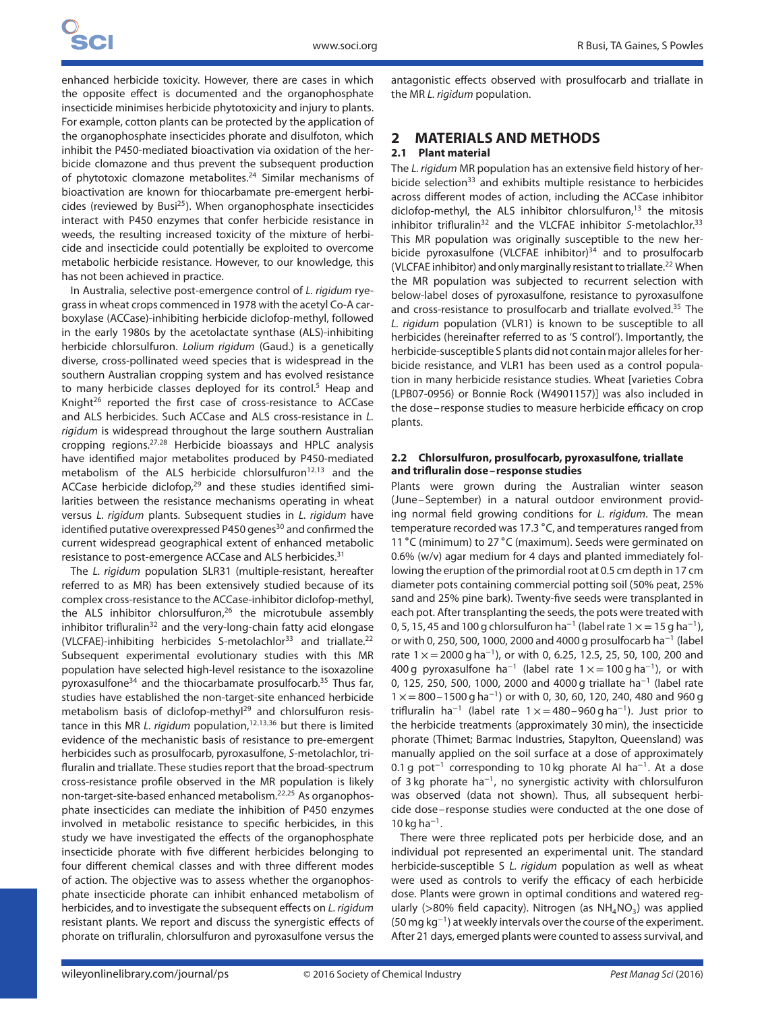enhanced herbicide toxicity. However, there are cases in which the opposite effect is documented and the organophosphate insecticide minimises herbicide phytotoxicity and injury to plants. For example, cotton plants can be protected by the application of the organophosphate insecticides phorate and disulfoton, which inhibit the P450-mediated bioactivation via oxidation of the herbicide clomazone and thus prevent the subsequent production of phytotoxic clomazone metabolites.24 Similar mechanisms of bioactivation are known for thiocarbamate pre-emergent herbicides (reviewed by Busi $^{25}$ ). When organophosphate insecticides interact with P450 enzymes that confer herbicide resistance in weeds, the resulting increased toxicity of the mixture of herbicide and insecticide could potentially be exploited to overcome metabolic herbicide resistance. However, to our knowledge, this has not been achieved in practice.

In Australia, selective post-emergence control of L. rigidum ryegrass in wheat crops commenced in 1978 with the acetyl Co-A carboxylase (ACCase)-inhibiting herbicide diclofop-methyl, followed in the early 1980s by the acetolactate synthase (ALS)-inhibiting herbicide chlorsulfuron. Lolium rigidum (Gaud.) is a genetically diverse, cross-pollinated weed species that is widespread in the southern Australian cropping system and has evolved resistance to many herbicide classes deployed for its control.<sup>5</sup> Heap and Knight<sup>26</sup> reported the first case of cross-resistance to ACCase and ALS herbicides. Such ACCase and ALS cross-resistance in L. rigidum is widespread throughout the large southern Australian cropping regions.27*,*<sup>28</sup> Herbicide bioassays and HPLC analysis have identified major metabolites produced by P450-mediated metabolism of the ALS herbicide chlorsulfuron<sup>12,13</sup> and the ACCase herbicide diclofop,<sup>29</sup> and these studies identified similarities between the resistance mechanisms operating in wheat versus L. rigidum plants. Subsequent studies in L. rigidum have identified putative overexpressed P450 genes<sup>30</sup> and confirmed the current widespread geographical extent of enhanced metabolic resistance to post-emergence ACCase and ALS herbicides.31

The L. rigidum population SLR31 (multiple-resistant, hereafter referred to as MR) has been extensively studied because of its complex cross-resistance to the ACCase-inhibitor diclofop-methyl, the ALS inhibitor chlorsulfuron, $26$  the microtubule assembly inhibitor trifluralin<sup>32</sup> and the very-long-chain fatty acid elongase (VLCFAE)-inhibiting herbicides S-metolachlor<sup>33</sup> and triallate.<sup>22</sup> Subsequent experimental evolutionary studies with this MR population have selected high-level resistance to the isoxazoline pyroxasulfone34 and the thiocarbamate prosulfocarb.35 Thus far, studies have established the non-target-site enhanced herbicide metabolism basis of diclofop-methyl<sup>29</sup> and chlorsulfuron resistance in this MR L. rigidum population,<sup>12,13,36</sup> but there is limited evidence of the mechanistic basis of resistance to pre-emergent herbicides such as prosulfocarb, pyroxasulfone, S-metolachlor, trifluralin and triallate. These studies report that the broad-spectrum cross-resistance profile observed in the MR population is likely non-target-site-based enhanced metabolism.22*,*<sup>25</sup> As organophosphate insecticides can mediate the inhibition of P450 enzymes involved in metabolic resistance to specific herbicides, in this study we have investigated the effects of the organophosphate insecticide phorate with five different herbicides belonging to four different chemical classes and with three different modes of action. The objective was to assess whether the organophosphate insecticide phorate can inhibit enhanced metabolism of herbicides, and to investigate the subsequent effects on L. rigidum resistant plants. We report and discuss the synergistic effects of phorate on trifluralin, chlorsulfuron and pyroxasulfone versus the

antagonistic effects observed with prosulfocarb and triallate in the MR L. rigidum population.

### **2 MATERIALS AND METHODS**

#### **2.1 Plant material**

The L. rigidum MR population has an extensive field history of herbicide selection<sup>33</sup> and exhibits multiple resistance to herbicides across different modes of action, including the ACCase inhibitor diclofop-methyl, the ALS inhibitor chlorsulfuron, $13$  the mitosis inhibitor trifluralin<sup>32</sup> and the VLCFAE inhibitor S-metolachlor.<sup>33</sup> This MR population was originally susceptible to the new herbicide pyroxasulfone (VLCFAE inhibitor) $34$  and to prosulfocarb (VLCFAE inhibitor) and only marginally resistant to triallate.<sup>22</sup> When the MR population was subjected to recurrent selection with below-label doses of pyroxasulfone, resistance to pyroxasulfone and cross-resistance to prosulfocarb and triallate evolved.<sup>35</sup> The L. rigidum population (VLR1) is known to be susceptible to all herbicides (hereinafter referred to as 'S control'). Importantly, the herbicide-susceptible S plants did not contain major alleles for herbicide resistance, and VLR1 has been used as a control population in many herbicide resistance studies. Wheat [varieties Cobra (LPB07-0956) or Bonnie Rock (W4901157)] was also included in the dose– response studies to measure herbicide efficacy on crop plants.

#### **2.2 Chlorsulfuron, prosulfocarb, pyroxasulfone, triallate and trifluralin dose–response studies**

Plants were grown during the Australian winter season (June–September) in a natural outdoor environment providing normal field growing conditions for L. rigidum. The mean temperature recorded was 17.3 ∘C, and temperatures ranged from 11 ∘C (minimum) to 27 ∘C (maximum). Seeds were germinated on 0.6% (w/v) agar medium for 4 days and planted immediately following the eruption of the primordial root at 0.5 cm depth in 17 cm diameter pots containing commercial potting soil (50% peat, 25% sand and 25% pine bark). Twenty-five seeds were transplanted in each pot. After transplanting the seeds, the pots were treated with 0, 5, 15, 45 and 100 g chlorsulfuron ha<sup>-1</sup> (label rate 1  $\times$  = 15 g ha<sup>-1</sup>), or with 0, 250, 500, 1000, 2000 and 4000 g prosulfocarb ha<sup>−</sup><sup>1</sup> (label rate  $1 \times = 2000$  g ha<sup>-1</sup>), or with 0, 6.25, 12.5, 25, 50, 100, 200 and 400 g pyroxasulfone ha<sup>-1</sup> (label rate  $1 \times =100$  g ha<sup>-1</sup>), or with 0, 125, 250, 500, 1000, 2000 and 4000 g triallate ha<sup>−</sup><sup>1</sup> (label rate  $1 \times =800-1500$  g ha<sup>-1</sup>) or with 0, 30, 60, 120, 240, 480 and 960 g trifluralin ha<sup>-1</sup> (label rate  $1 \times = 480 - 960$  g ha<sup>-1</sup>). Just prior to the herbicide treatments (approximately 30 min), the insecticide phorate (Thimet; Barmac Industries, Stapylton, Queensland) was manually applied on the soil surface at a dose of approximately 0.1 g pot<sup>−</sup><sup>1</sup> corresponding to 10 kg phorate AI ha<sup>−</sup>1. At a dose of 3 kg phorate ha<sup>−</sup>1, no synergistic activity with chlorsulfuron was observed (data not shown). Thus, all subsequent herbicide dose– response studies were conducted at the one dose of 10 kg ha<sup>-1</sup>.

There were three replicated pots per herbicide dose, and an individual pot represented an experimental unit. The standard herbicide-susceptible S L. rigidum population as well as wheat were used as controls to verify the efficacy of each herbicide dose. Plants were grown in optimal conditions and watered regularly (>80% field capacity). Nitrogen (as NH<sub>4</sub>NO<sub>3</sub>) was applied (50 mg kg<sup>−</sup>1) at weekly intervals over the course of the experiment. After 21 days, emerged plants were counted to assess survival, and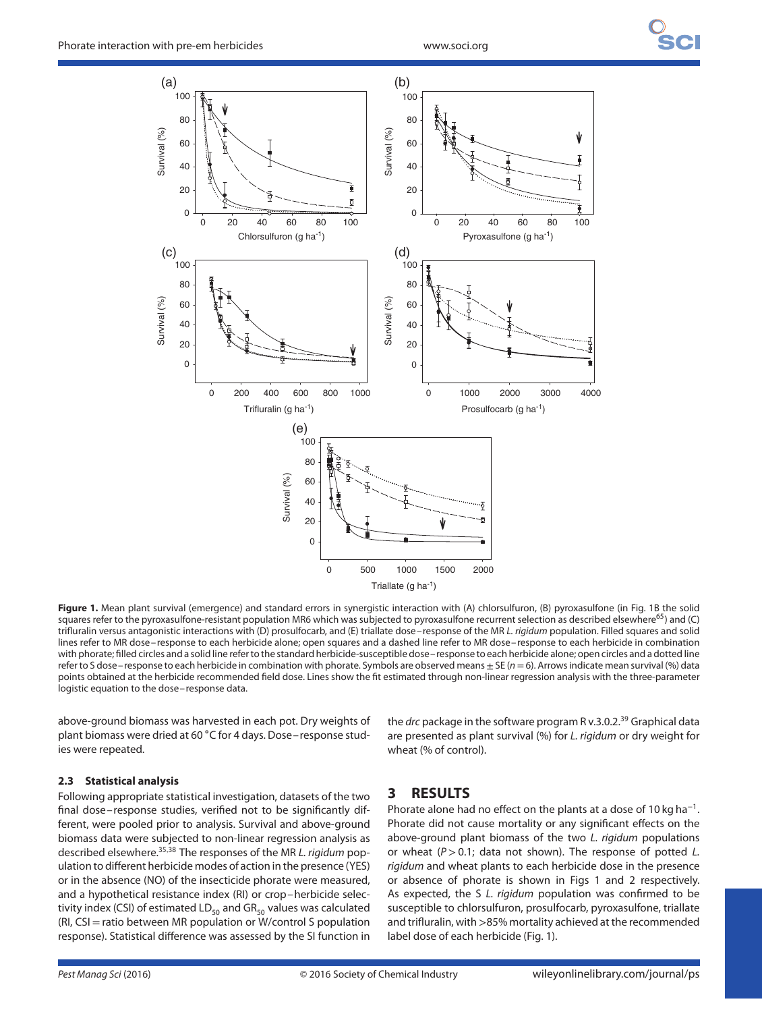

**Figure 1.** Mean plant survival (emergence) and standard errors in synergistic interaction with (A) chlorsulfuron, (B) pyroxasulfone (in Fig. 1B the solid squares refer to the pyroxasulfone-resistant population MR6 which was subjected to pyroxasulfone recurrent selection as described elsewhere<sup>65</sup>) and (C) trifluralin versus antagonistic interactions with (D) prosulfocarb, and (E) triallate dose–response of the MR L. rigidum population. Filled squares and solid lines refer to MR dose– response to each herbicide alone; open squares and a dashed line refer to MR dose– response to each herbicide in combination with phorate; filled circles and a solid line refer to the standard herbicide-susceptible dose– response to each herbicide alone; open circles and a dotted line refer to S dose–response to each herbicide in combination with phorate. Symbols are observed means  $\pm$  SE ( $n=6$ ). Arrows indicate mean survival (%) data points obtained at the herbicide recommended field dose. Lines show the fit estimated through non-linear regression analysis with the three-parameter logistic equation to the dose– response data.

above-ground biomass was harvested in each pot. Dry weights of plant biomass were dried at 60 ∘C for 4 days. Dose– response studies were repeated.

#### **2.3 Statistical analysis**

Following appropriate statistical investigation, datasets of the two final dose– response studies, verified not to be significantly different, were pooled prior to analysis. Survival and above-ground biomass data were subjected to non-linear regression analysis as described elsewhere.35*,*<sup>38</sup> The responses of the MR L. rigidum population to different herbicide modes of action in the presence (YES) or in the absence (NO) of the insecticide phorate were measured, and a hypothetical resistance index (RI) or crop–herbicide selectivity index (CSI) of estimated  $LD_{50}$  and  $GR_{50}$  values was calculated (RI, CSI=ratio between MR population or W/control S population response). Statistical difference was assessed by the SI function in

the drc package in the software program R v.3.0.2.<sup>39</sup> Graphical data are presented as plant survival (%) for L. rigidum or dry weight for wheat (% of control).

## **3 RESULTS**

Phorate alone had no effect on the plants at a dose of 10 kg ha<sup>-1</sup>. Phorate did not cause mortality or any significant effects on the above-ground plant biomass of the two L. rigidum populations or wheat (P > 0.1; data not shown). The response of potted L. rigidum and wheat plants to each herbicide dose in the presence or absence of phorate is shown in Figs 1 and 2 respectively. As expected, the S L. rigidum population was confirmed to be susceptible to chlorsulfuron, prosulfocarb, pyroxasulfone, triallate and trifluralin, with*>*85% mortality achieved at the recommended label dose of each herbicide (Fig. 1).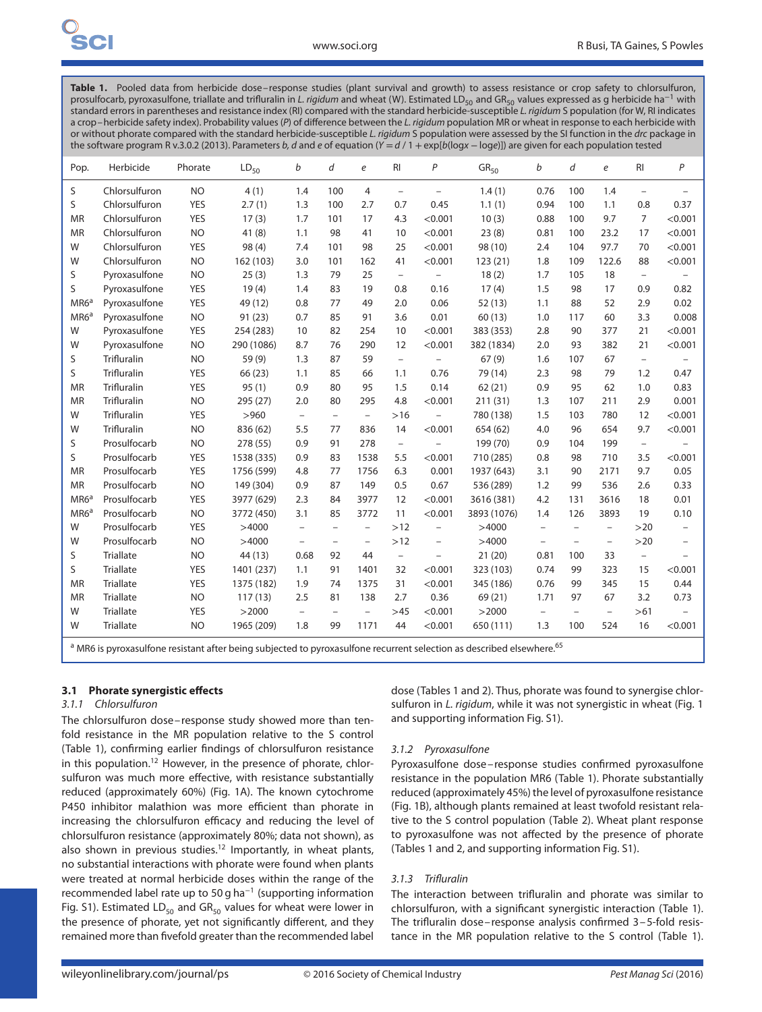Table 1. Pooled data from herbicide dose–response studies (plant survival and growth) to assess resistance or crop safety to chlorsulfuron, prosulfocarb, pyroxasulfone, triallate and trifluralin in L. rigidum and wheat (W). Estimated LD<sub>50</sub> and GR<sub>50</sub> values expressed as q herbicide ha<sup>-1</sup> with standard errors in parentheses and resistance index (RI) compared with the standard herbicide-susceptible L. rigidum S population (for W, RI indicates a crop-herbicide safety index). Probability values (P) of difference between the L. rigidum population MR or wheat in response to each herbicide with or without phorate compared with the standard herbicide-susceptible L. rigidum S population were assessed by the SI function in the drc package in the software program R v.3.0.2 (2013). Parameters b, d and e of equation (Y = d / 1 + exp[b(logx - loge)]) are given for each population tested

| Pop.             | Herbicide          | Phorate    | $LD_{50}$  | b                        | d                        | $\boldsymbol{e}$         | RI                       | P                        | GR <sub>50</sub> | b                        | d                        | e                        | RI                       | P        |
|------------------|--------------------|------------|------------|--------------------------|--------------------------|--------------------------|--------------------------|--------------------------|------------------|--------------------------|--------------------------|--------------------------|--------------------------|----------|
| S                | Chlorsulfuron      | <b>NO</b>  | 4(1)       | 1.4                      | 100                      | $\overline{4}$           | $\equiv$                 | $\overline{\phantom{a}}$ | 1.4(1)           | 0.76                     | 100                      | 1.4                      | $\equiv$                 | $\equiv$ |
| S                | Chlorsulfuron      | <b>YES</b> | 2.7(1)     | 1.3                      | 100                      | 2.7                      | 0.7                      | 0.45                     | 1.1(1)           | 0.94                     | 100                      | 1.1                      | 0.8                      | 0.37     |
| <b>MR</b>        | Chlorsulfuron      | <b>YES</b> | 17(3)      | 1.7                      | 101                      | 17                       | 4.3                      | < 0.001                  | 10(3)            | 0.88                     | 100                      | 9.7                      | $\overline{7}$           | < 0.001  |
| <b>MR</b>        | Chlorsulfuron      | <b>NO</b>  | 41(8)      | 1.1                      | 98                       | 41                       | 10                       | < 0.001                  | 23(8)            | 0.81                     | 100                      | 23.2                     | 17                       | < 0.001  |
| W                | Chlorsulfuron      | <b>YES</b> | 98 (4)     | 7.4                      | 101                      | 98                       | 25                       | < 0.001                  | 98 (10)          | 2.4                      | 104                      | 97.7                     | 70                       | < 0.001  |
| W                | Chlorsulfuron      | <b>NO</b>  | 162 (103)  | 3.0                      | 101                      | 162                      | 41                       | < 0.001                  | 123(21)          | 1.8                      | 109                      | 122.6                    | 88                       | < 0.001  |
| S                | Pyroxasulfone      | <b>NO</b>  | 25(3)      | 1.3                      | 79                       | 25                       | $\equiv$                 | $\equiv$                 | 18(2)            | 1.7                      | 105                      | 18                       | $\equiv$                 | $-$      |
| S                | Pyroxasulfone      | <b>YES</b> | 19(4)      | 1.4                      | 83                       | 19                       | 0.8                      | 0.16                     | 17(4)            | 1.5                      | 98                       | 17                       | 0.9                      | 0.82     |
| MR6 <sup>a</sup> | Pyroxasulfone      | <b>YES</b> | 49 (12)    | 0.8                      | 77                       | 49                       | 2.0                      | 0.06                     | 52(13)           | 1.1                      | 88                       | 52                       | 2.9                      | 0.02     |
| MR6 <sup>a</sup> | Pyroxasulfone      | <b>NO</b>  | 91(23)     | 0.7                      | 85                       | 91                       | 3.6                      | 0.01                     | 60(13)           | 1.0                      | 117                      | 60                       | 3.3                      | 0.008    |
| W                | Pyroxasulfone      | <b>YES</b> | 254 (283)  | 10                       | 82                       | 254                      | 10                       | < 0.001                  | 383 (353)        | 2.8                      | 90                       | 377                      | 21                       | < 0.001  |
| W                | Pyroxasulfone      | <b>NO</b>  | 290 (1086) | 8.7                      | 76                       | 290                      | 12                       | < 0.001                  | 382 (1834)       | 2.0                      | 93                       | 382                      | 21                       | < 0.001  |
| S                | <b>Trifluralin</b> | <b>NO</b>  | 59 (9)     | 1.3                      | 87                       | 59                       | $\equiv$                 | $\overline{\phantom{m}}$ | 67(9)            | 1.6                      | 107                      | 67                       | $\equiv$                 |          |
| S                | <b>Trifluralin</b> | <b>YES</b> | 66 (23)    | 1.1                      | 85                       | 66                       | 1.1                      | 0.76                     | 79 (14)          | 2.3                      | 98                       | 79                       | 1.2                      | 0.47     |
| <b>MR</b>        | <b>Trifluralin</b> | <b>YES</b> | 95(1)      | 0.9                      | 80                       | 95                       | 1.5                      | 0.14                     | 62(21)           | 0.9                      | 95                       | 62                       | 1.0                      | 0.83     |
| <b>MR</b>        | Trifluralin        | <b>NO</b>  | 295 (27)   | 2.0                      | 80                       | 295                      | 4.8                      | < 0.001                  | 211 (31)         | 1.3                      | 107                      | 211                      | 2.9                      | 0.001    |
| W                | Trifluralin        | <b>YES</b> | >960       | $\overline{\phantom{a}}$ | $\overline{\phantom{m}}$ | $\overline{\phantom{m}}$ | $>16$                    | $\equiv$                 | 780 (138)        | 1.5                      | 103                      | 780                      | 12                       | < 0.001  |
| W                | <b>Trifluralin</b> | <b>NO</b>  | 836 (62)   | 5.5                      | 77                       | 836                      | 14                       | < 0.001                  | 654 (62)         | 4.0                      | 96                       | 654                      | 9.7                      | < 0.001  |
| S                | Prosulfocarb       | <b>NO</b>  | 278 (55)   | 0.9                      | 91                       | 278                      | $\overline{\phantom{a}}$ |                          | 199 (70)         | 0.9                      | 104                      | 199                      | $\overline{\phantom{a}}$ |          |
| S                | Prosulfocarb       | <b>YES</b> | 1538 (335) | 0.9                      | 83                       | 1538                     | 5.5                      | < 0.001                  | 710 (285)        | 0.8                      | 98                       | 710                      | 3.5                      | < 0.001  |
| <b>MR</b>        | Prosulfocarb       | <b>YES</b> | 1756 (599) | 4.8                      | 77                       | 1756                     | 6.3                      | 0.001                    | 1937 (643)       | 3.1                      | 90                       | 2171                     | 9.7                      | 0.05     |
| <b>MR</b>        | Prosulfocarb       | <b>NO</b>  | 149 (304)  | 0.9                      | 87                       | 149                      | 0.5                      | 0.67                     | 536 (289)        | 1.2                      | 99                       | 536                      | 2.6                      | 0.33     |
| MR6 <sup>a</sup> | Prosulfocarb       | <b>YES</b> | 3977 (629) | 2.3                      | 84                       | 3977                     | 12                       | < 0.001                  | 3616 (381)       | 4.2                      | 131                      | 3616                     | 18                       | 0.01     |
| MR6 <sup>a</sup> | Prosulfocarb       | <b>NO</b>  | 3772 (450) | 3.1                      | 85                       | 3772                     | 11                       | < 0.001                  | 3893 (1076)      | 1.4                      | 126                      | 3893                     | 19                       | 0.10     |
| W                | Prosulfocarb       | <b>YES</b> | >4000      | $\overline{\phantom{m}}$ | $\overline{\phantom{m}}$ | $\overline{\phantom{a}}$ | >12                      | $\qquad \qquad -$        | >4000            | $\qquad \qquad -$        | $\overline{\phantom{m}}$ | $\overline{\phantom{m}}$ | $>20$                    |          |
| W                | Prosulfocarb       | <b>NO</b>  | >4000      | $\overline{\phantom{m}}$ | $\overline{\phantom{m}}$ | $\qquad \qquad -$        | >12                      | $\overline{\phantom{0}}$ | >4000            | $\overline{\phantom{0}}$ | $\overline{\phantom{m}}$ | $\overline{\phantom{0}}$ | >20                      | $\equiv$ |
| S                | <b>Triallate</b>   | <b>NO</b>  | 44 (13)    | 0.68                     | 92                       | 44                       | $\equiv$                 |                          | 21(20)           | 0.81                     | 100                      | 33                       | $\equiv$                 |          |
| S                | <b>Triallate</b>   | <b>YES</b> | 1401 (237) | 1.1                      | 91                       | 1401                     | 32                       | < 0.001                  | 323 (103)        | 0.74                     | 99                       | 323                      | 15                       | < 0.001  |
| <b>MR</b>        | <b>Triallate</b>   | <b>YES</b> | 1375 (182) | 1.9                      | 74                       | 1375                     | 31                       | < 0.001                  | 345 (186)        | 0.76                     | 99                       | 345                      | 15                       | 0.44     |
| <b>MR</b>        | <b>Triallate</b>   | <b>NO</b>  | 117(13)    | 2.5                      | 81                       | 138                      | 2.7                      | 0.36                     | 69 (21)          | 1.71                     | 97                       | 67                       | 3.2                      | 0.73     |
| W                | <b>Triallate</b>   | <b>YES</b> | >2000      | $\overline{\phantom{m}}$ | $\equiv$                 | $\overline{\phantom{0}}$ | $>45$                    | < 0.001                  | >2000            | $\equiv$                 | $\equiv$                 | $\overline{\phantom{a}}$ | $>61$                    | $\equiv$ |
| W                | <b>Triallate</b>   | <b>NO</b>  | 1965 (209) | 1.8                      | 99                       | 1171                     | 44                       | < 0.001                  | 650 (111)        | 1.3                      | 100                      | 524                      | 16                       | < 0.001  |
|                  |                    |            |            |                          |                          |                          |                          |                          |                  |                          |                          |                          |                          |          |

<sup>a</sup> MR6 is pyroxasulfone resistant after being subjected to pyroxasulfone recurrent selection as described elsewhere.<sup>65</sup>

#### **3.1 Phorate synergistic effects**

#### 3.1.1 Chlorsulfuron

The chlorsulfuron dose– response study showed more than tenfold resistance in the MR population relative to the S control (Table 1), confirming earlier findings of chlorsulfuron resistance in this population.<sup>12</sup> However, in the presence of phorate, chlorsulfuron was much more effective, with resistance substantially reduced (approximately 60%) (Fig. 1A). The known cytochrome P450 inhibitor malathion was more efficient than phorate in increasing the chlorsulfuron efficacy and reducing the level of chlorsulfuron resistance (approximately 80%; data not shown), as also shown in previous studies.<sup>12</sup> Importantly, in wheat plants, no substantial interactions with phorate were found when plants were treated at normal herbicide doses within the range of the recommended label rate up to 50 g ha<sup>−</sup><sup>1</sup> (supporting information Fig. S1). Estimated  $LD_{50}$  and GR<sub>50</sub> values for wheat were lower in the presence of phorate, yet not significantly different, and they remained more than fivefold greater than the recommended label

dose (Tables 1 and 2). Thus, phorate was found to synergise chlorsulfuron in L. rigidum, while it was not synergistic in wheat (Fig. 1 and supporting information Fig. S1).

#### 3.1.2 Pyroxasulfone

Pyroxasulfone dose– response studies confirmed pyroxasulfone resistance in the population MR6 (Table 1). Phorate substantially reduced (approximately 45%) the level of pyroxasulfone resistance (Fig. 1B), although plants remained at least twofold resistant relative to the S control population (Table 2). Wheat plant response to pyroxasulfone was not affected by the presence of phorate (Tables 1 and 2, and supporting information Fig. S1).

#### 3.1.3 Trifluralin

The interaction between trifluralin and phorate was similar to chlorsulfuron, with a significant synergistic interaction (Table 1). The trifluralin dose– response analysis confirmed 3–5-fold resistance in the MR population relative to the S control (Table 1).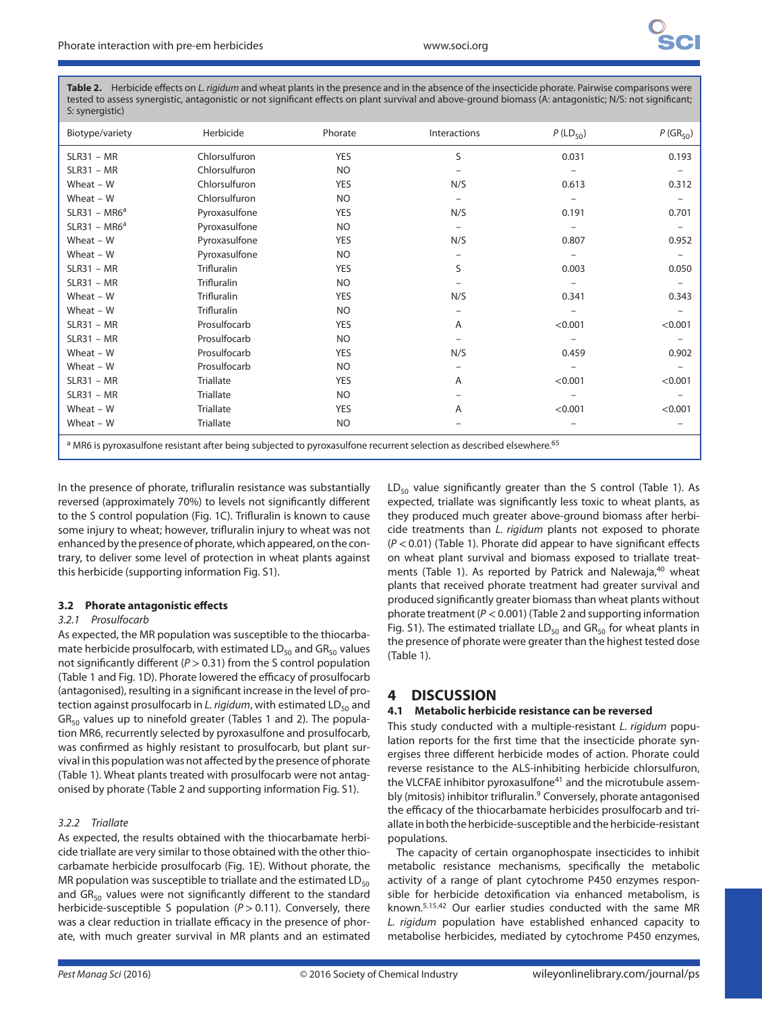**Table 2.** Herbicide effects on L. rigidum and wheat plants in the presence and in the absence of the insecticide phorate. Pairwise comparisons were tested to assess synergistic, antagonistic or not significant effects on plant survival and above-ground biomass (A: antagonistic; N/S: not significant; S: synergistic)

| Biotype/variety | Herbicide          | Phorate        | Interactions                                                                                                                                 | $P$ (LD <sub>50</sub> ) | $P(GR_{50})$ |
|-----------------|--------------------|----------------|----------------------------------------------------------------------------------------------------------------------------------------------|-------------------------|--------------|
| $SLR31 - MR$    | Chlorsulfuron      | <b>YES</b>     | S                                                                                                                                            | 0.031                   | 0.193        |
| $SLR31 - MR$    | Chlorsulfuron      | <b>NO</b>      |                                                                                                                                              |                         |              |
| Wheat $-$ W     | Chlorsulfuron      | <b>YES</b>     | N/S                                                                                                                                          | 0.613                   | 0.312        |
| Wheat $-$ W     | Chlorsulfuron      | <b>NO</b>      |                                                                                                                                              |                         |              |
| $SLR31 - MR6^a$ | Pyroxasulfone      | <b>YES</b>     | N/S                                                                                                                                          | 0.191                   | 0.701        |
| $SLR31 - MR6^a$ | Pyroxasulfone      | N <sub>O</sub> |                                                                                                                                              |                         |              |
| Wheat $-$ W     | Pyroxasulfone      | <b>YES</b>     | N/S                                                                                                                                          | 0.807                   | 0.952        |
| Wheat $-$ W     | Pyroxasulfone      | N <sub>O</sub> |                                                                                                                                              |                         |              |
| $SLR31 - MR$    | <b>Trifluralin</b> | <b>YES</b>     | S                                                                                                                                            | 0.003                   | 0.050        |
| $SLR31 - MR$    | Trifluralin        | <b>NO</b>      |                                                                                                                                              |                         |              |
| Wheat $-$ W     | <b>Trifluralin</b> | <b>YES</b>     | N/S                                                                                                                                          | 0.341                   | 0.343        |
| Wheat $-$ W     | <b>Trifluralin</b> | <b>NO</b>      |                                                                                                                                              |                         |              |
| $SLR31 - MR$    | Prosulfocarb       | <b>YES</b>     | A                                                                                                                                            | < 0.001                 | < 0.001      |
| $SLR31 - MR$    | Prosulfocarb       | <b>NO</b>      |                                                                                                                                              |                         |              |
| Wheat $-$ W     | Prosulfocarb       | <b>YES</b>     | N/S                                                                                                                                          | 0.459                   | 0.902        |
| Wheat $-$ W     | Prosulfocarb       | <b>NO</b>      |                                                                                                                                              |                         |              |
| $SLR31 - MR$    | <b>Triallate</b>   | <b>YES</b>     | A                                                                                                                                            | < 0.001                 | < 0.001      |
| $SLR31 - MR$    | <b>Triallate</b>   | <b>NO</b>      |                                                                                                                                              |                         |              |
| Wheat $-$ W     | <b>Triallate</b>   | <b>YES</b>     | A                                                                                                                                            | < 0.001                 | < 0.001      |
| Wheat $-$ W     | <b>Triallate</b>   | <b>NO</b>      |                                                                                                                                              |                         |              |
|                 |                    |                | <sup>a</sup> MR6 is pyroxasulfone resistant after being subjected to pyroxasulfone recurrent selection as described elsewhere. <sup>65</sup> |                         |              |

In the presence of phorate, trifluralin resistance was substantially reversed (approximately 70%) to levels not significantly different to the S control population (Fig. 1C). Trifluralin is known to cause some injury to wheat; however, trifluralin injury to wheat was not enhanced by the presence of phorate, which appeared, on the contrary, to deliver some level of protection in wheat plants against this herbicide (supporting information Fig. S1).

## **3.2 Phorate antagonistic effects**

#### 3.2.1 Prosulfocarb

As expected, the MR population was susceptible to the thiocarbamate herbicide prosulfocarb, with estimated  $LD_{50}$  and  $GR_{50}$  values not significantly different (P *>*0.31) from the S control population (Table 1 and Fig. 1D). Phorate lowered the efficacy of prosulfocarb (antagonised), resulting in a significant increase in the level of protection against prosulfocarb in L. rigidum, with estimated  $LD_{50}$  and  $GR_{50}$  values up to ninefold greater (Tables 1 and 2). The population MR6, recurrently selected by pyroxasulfone and prosulfocarb, was confirmed as highly resistant to prosulfocarb, but plant survival in this population was not affected by the presence of phorate (Table 1). Wheat plants treated with prosulfocarb were not antagonised by phorate (Table 2 and supporting information Fig. S1).

## 3.2.2 Triallate

As expected, the results obtained with the thiocarbamate herbicide triallate are very similar to those obtained with the other thiocarbamate herbicide prosulfocarb (Fig. 1E). Without phorate, the MR population was susceptible to triallate and the estimated  $LD_{50}$ and  $GR_{50}$  values were not significantly different to the standard herbicide-susceptible S population (P *>*0.11). Conversely, there was a clear reduction in triallate efficacy in the presence of phorate, with much greater survival in MR plants and an estimated

 $LD_{50}$  value significantly greater than the S control (Table 1). As expected, triallate was significantly less toxic to wheat plants, as they produced much greater above-ground biomass after herbicide treatments than L. rigidum plants not exposed to phorate (P *<*0.01) (Table 1). Phorate did appear to have significant effects on wheat plant survival and biomass exposed to triallate treatments (Table 1). As reported by Patrick and Nalewaja,<sup>40</sup> wheat plants that received phorate treatment had greater survival and produced significantly greater biomass than wheat plants without phorate treatment (P *<*0.001) (Table 2 and supporting information Fig. S1). The estimated triallate  $LD_{50}$  and  $GR_{50}$  for wheat plants in the presence of phorate were greater than the highest tested dose (Table 1).

## **4 DISCUSSION**

#### **4.1 Metabolic herbicide resistance can be reversed**

This study conducted with a multiple-resistant L. rigidum population reports for the first time that the insecticide phorate synergises three different herbicide modes of action. Phorate could reverse resistance to the ALS-inhibiting herbicide chlorsulfuron, the VLCFAE inhibitor pyroxasulfone<sup>41</sup> and the microtubule assembly (mitosis) inhibitor trifluralin.<sup>9</sup> Conversely, phorate antagonised the efficacy of the thiocarbamate herbicides prosulfocarb and triallate in both the herbicide-susceptible and the herbicide-resistant populations.

The capacity of certain organophospate insecticides to inhibit metabolic resistance mechanisms, specifically the metabolic activity of a range of plant cytochrome P450 enzymes responsible for herbicide detoxification via enhanced metabolism, is known.5*,*15*,*<sup>42</sup> Our earlier studies conducted with the same MR L. rigidum population have established enhanced capacity to metabolise herbicides, mediated by cytochrome P450 enzymes,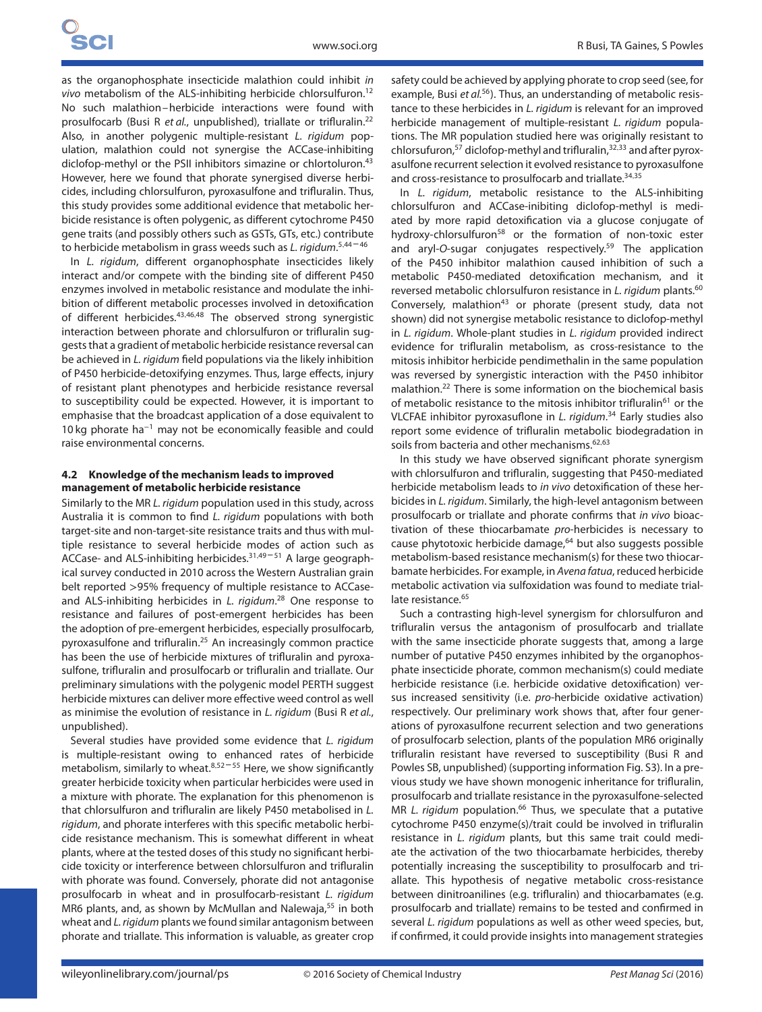as the organophosphate insecticide malathion could inhibit in vivo metabolism of the ALS-inhibiting herbicide chlorsulfuron.<sup>12</sup> No such malathion–herbicide interactions were found with prosulfocarb (Busi R et al., unpublished), triallate or trifluralin.<sup>22</sup> Also, in another polygenic multiple-resistant L. rigidum population, malathion could not synergise the ACCase-inhibiting diclofop-methyl or the PSII inhibitors simazine or chlortoluron.<sup>43</sup> However, here we found that phorate synergised diverse herbicides, including chlorsulfuron, pyroxasulfone and trifluralin. Thus, this study provides some additional evidence that metabolic herbicide resistance is often polygenic, as different cytochrome P450 gene traits (and possibly others such as GSTs, GTs, etc.) contribute to herbicide metabolism in grass weeds such as L. rigidum. <sup>5</sup>*,*<sup>44</sup> – <sup>46</sup>

In L. rigidum, different organophosphate insecticides likely interact and/or compete with the binding site of different P450 enzymes involved in metabolic resistance and modulate the inhibition of different metabolic processes involved in detoxification of different herbicides.43*,*46*,*<sup>48</sup> The observed strong synergistic interaction between phorate and chlorsulfuron or trifluralin suggests that a gradient of metabolic herbicide resistance reversal can be achieved in L. rigidum field populations via the likely inhibition of P450 herbicide-detoxifying enzymes. Thus, large effects, injury of resistant plant phenotypes and herbicide resistance reversal to susceptibility could be expected. However, it is important to emphasise that the broadcast application of a dose equivalent to 10 kg phorate ha<sup>−</sup><sup>1</sup> may not be economically feasible and could raise environmental concerns.

#### **4.2 Knowledge of the mechanism leads to improved management of metabolic herbicide resistance**

Similarly to the MR L. rigidum population used in this study, across Australia it is common to find L. rigidum populations with both target-site and non-target-site resistance traits and thus with multiple resistance to several herbicide modes of action such as ACCase- and ALS-inhibiting herbicides.<sup>31,49-51</sup> A large geographical survey conducted in 2010 across the Western Australian grain belt reported *>*95% frequency of multiple resistance to ACCaseand ALS-inhibiting herbicides in L. rigidum.<sup>28</sup> One response to resistance and failures of post-emergent herbicides has been the adoption of pre-emergent herbicides, especially prosulfocarb, pyroxasulfone and trifluralin.25 An increasingly common practice has been the use of herbicide mixtures of trifluralin and pyroxasulfone, trifluralin and prosulfocarb or trifluralin and triallate. Our preliminary simulations with the polygenic model PERTH suggest herbicide mixtures can deliver more effective weed control as well as minimise the evolution of resistance in L. rigidum (Busi R et al., unpublished).

Several studies have provided some evidence that L. rigidum is multiple-resistant owing to enhanced rates of herbicide metabolism, similarly to wheat.<sup>8,52-55</sup> Here, we show significantly greater herbicide toxicity when particular herbicides were used in a mixture with phorate. The explanation for this phenomenon is that chlorsulfuron and trifluralin are likely P450 metabolised in L. rigidum, and phorate interferes with this specific metabolic herbicide resistance mechanism. This is somewhat different in wheat plants, where at the tested doses of this study no significant herbicide toxicity or interference between chlorsulfuron and trifluralin with phorate was found. Conversely, phorate did not antagonise prosulfocarb in wheat and in prosulfocarb-resistant L. rigidum MR6 plants, and, as shown by McMullan and Nalewaja,<sup>55</sup> in both wheat and L. rigidum plants we found similar antagonism between phorate and triallate. This information is valuable, as greater crop

safety could be achieved by applying phorate to crop seed (see, for example, Busi et  $al^{56}$ ). Thus, an understanding of metabolic resistance to these herbicides in L. rigidum is relevant for an improved herbicide management of multiple-resistant L. rigidum populations. The MR population studied here was originally resistant to chlorsufuron,<sup>57</sup> diclofop-methyl and trifluralin,<sup>32,33</sup> and after pyroxasulfone recurrent selection it evolved resistance to pyroxasulfone and cross-resistance to prosulfocarb and triallate.34*,*<sup>35</sup>

In L. rigidum, metabolic resistance to the ALS-inhibiting chlorsulfuron and ACCase-inibiting diclofop-methyl is mediated by more rapid detoxification via a glucose conjugate of hydroxy-chlorsulfuron<sup>58</sup> or the formation of non-toxic ester and aryl-O-sugar conjugates respectively.59 The application of the P450 inhibitor malathion caused inhibition of such a metabolic P450-mediated detoxification mechanism, and it reversed metabolic chlorsulfuron resistance in L. rigidum plants.<sup>60</sup> Conversely, malathion $43$  or phorate (present study, data not shown) did not synergise metabolic resistance to diclofop-methyl in L. rigidum. Whole-plant studies in L. rigidum provided indirect evidence for trifluralin metabolism, as cross-resistance to the mitosis inhibitor herbicide pendimethalin in the same population was reversed by synergistic interaction with the P450 inhibitor malathion.22 There is some information on the biochemical basis of metabolic resistance to the mitosis inhibitor trifluralin<sup>61</sup> or the VLCFAE inhibitor pyroxasuflone in L. rigidum.<sup>34</sup> Early studies also report some evidence of trifluralin metabolic biodegradation in soils from bacteria and other mechanisms.<sup>62,63</sup>

In this study we have observed significant phorate synergism with chlorsulfuron and trifluralin, suggesting that P450-mediated herbicide metabolism leads to in vivo detoxification of these herbicides in L. rigidum. Similarly, the high-level antagonism between prosulfocarb or triallate and phorate confirms that in vivo bioactivation of these thiocarbamate pro-herbicides is necessary to cause phytotoxic herbicide damage,<sup>64</sup> but also suggests possible metabolism-based resistance mechanism(s) for these two thiocarbamate herbicides. For example, in Avena fatua, reduced herbicide metabolic activation via sulfoxidation was found to mediate triallate resistance.<sup>65</sup>

Such a contrasting high-level synergism for chlorsulfuron and trifluralin versus the antagonism of prosulfocarb and triallate with the same insecticide phorate suggests that, among a large number of putative P450 enzymes inhibited by the organophosphate insecticide phorate, common mechanism(s) could mediate herbicide resistance (i.e. herbicide oxidative detoxification) versus increased sensitivity (i.e. pro-herbicide oxidative activation) respectively. Our preliminary work shows that, after four generations of pyroxasulfone recurrent selection and two generations of prosulfocarb selection, plants of the population MR6 originally trifluralin resistant have reversed to susceptibility (Busi R and Powles SB, unpublished) (supporting information Fig. S3). In a previous study we have shown monogenic inheritance for trifluralin, prosulfocarb and triallate resistance in the pyroxasulfone-selected MR L. rigidum population.<sup>66</sup> Thus, we speculate that a putative cytochrome P450 enzyme(s)/trait could be involved in trifluralin resistance in L. rigidum plants, but this same trait could mediate the activation of the two thiocarbamate herbicides, thereby potentially increasing the susceptibility to prosulfocarb and triallate. This hypothesis of negative metabolic cross-resistance between dinitroanilines (e.g. trifluralin) and thiocarbamates (e.g. prosulfocarb and triallate) remains to be tested and confirmed in several L. rigidum populations as well as other weed species, but, if confirmed, it could provide insights into management strategies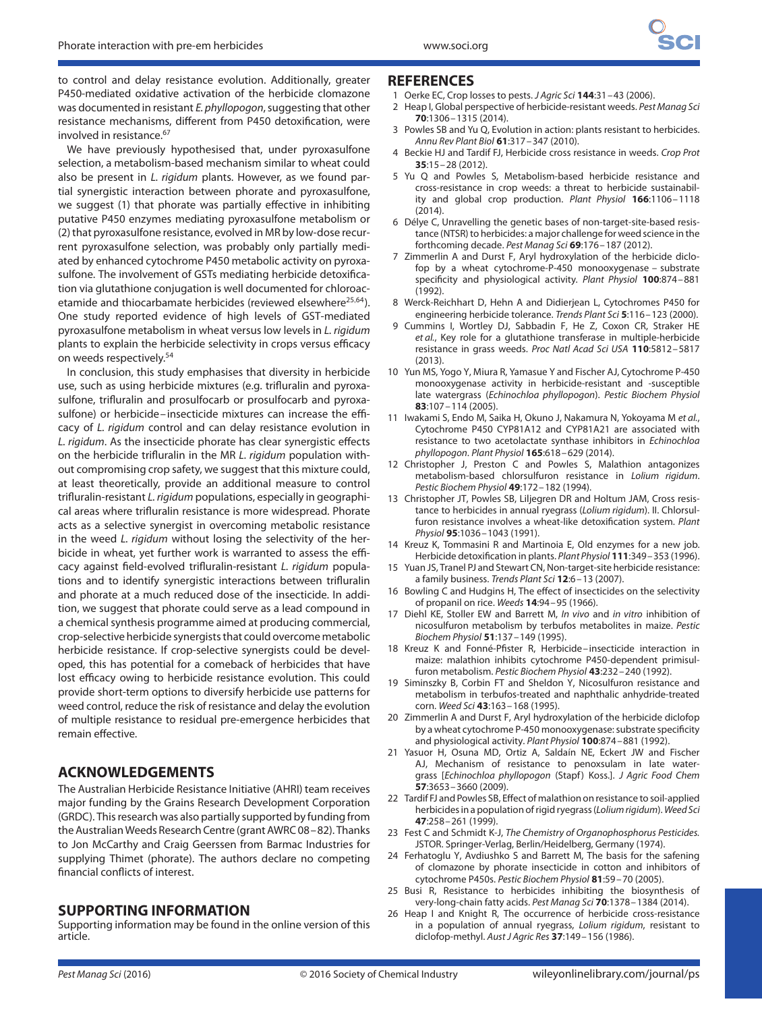to control and delay resistance evolution. Additionally, greater P450-mediated oxidative activation of the herbicide clomazone was documented in resistant E. phyllopogon, suggesting that other resistance mechanisms, different from P450 detoxification, were involved in resistance.<sup>67</sup>

We have previously hypothesised that, under pyroxasulfone selection, a metabolism-based mechanism similar to wheat could also be present in L. rigidum plants. However, as we found partial synergistic interaction between phorate and pyroxasulfone, we suggest (1) that phorate was partially effective in inhibiting putative P450 enzymes mediating pyroxasulfone metabolism or (2) that pyroxasulfone resistance, evolved in MR by low-dose recurrent pyroxasulfone selection, was probably only partially mediated by enhanced cytochrome P450 metabolic activity on pyroxasulfone. The involvement of GSTs mediating herbicide detoxification via glutathione conjugation is well documented for chloroacetamide and thiocarbamate herbicides (reviewed elsewhere25*,*64). One study reported evidence of high levels of GST-mediated pyroxasulfone metabolism in wheat versus low levels in L. rigidum plants to explain the herbicide selectivity in crops versus efficacy on weeds respectively.54

In conclusion, this study emphasises that diversity in herbicide use, such as using herbicide mixtures (e.g. trifluralin and pyroxasulfone, trifluralin and prosulfocarb or prosulfocarb and pyroxasulfone) or herbicide–insecticide mixtures can increase the efficacy of L. rigidum control and can delay resistance evolution in L. rigidum. As the insecticide phorate has clear synergistic effects on the herbicide trifluralin in the MR L. rigidum population without compromising crop safety, we suggest that this mixture could, at least theoretically, provide an additional measure to control trifluralin-resistant L. rigidum populations, especially in geographical areas where trifluralin resistance is more widespread. Phorate acts as a selective synergist in overcoming metabolic resistance in the weed L. rigidum without losing the selectivity of the herbicide in wheat, yet further work is warranted to assess the efficacy against field-evolved trifluralin-resistant L. rigidum populations and to identify synergistic interactions between trifluralin and phorate at a much reduced dose of the insecticide. In addition, we suggest that phorate could serve as a lead compound in a chemical synthesis programme aimed at producing commercial, crop-selective herbicide synergists that could overcome metabolic herbicide resistance. If crop-selective synergists could be developed, this has potential for a comeback of herbicides that have lost efficacy owing to herbicide resistance evolution. This could provide short-term options to diversify herbicide use patterns for weed control, reduce the risk of resistance and delay the evolution of multiple resistance to residual pre-emergence herbicides that remain effective.

## **ACKNOWLEDGEMENTS**

The Australian Herbicide Resistance Initiative (AHRI) team receives major funding by the Grains Research Development Corporation (GRDC). This research was also partially supported by funding from the Australian Weeds Research Centre(grant AWRC 08–82). Thanks to Jon McCarthy and Craig Geerssen from Barmac Industries for supplying Thimet (phorate). The authors declare no competing financial conflicts of interest.

## **SUPPORTING INFORMATION**

Supporting information may be found in the online version of this article.

#### **REFERENCES**

- 1 Oerke EC, Crop losses to pests. J Agric Sci **144**:31–43 (2006).
- 2 Heap I, Global perspective of herbicide-resistant weeds. Pest Manag Sci **70**:1306–1315 (2014).
- 3 Powles SB and Yu Q, Evolution in action: plants resistant to herbicides. Annu Rev Plant Biol **61**:317–347 (2010).
- 4 Beckie HJ and Tardif FJ, Herbicide cross resistance in weeds. Crop Prot **35**:15–28 (2012).
- 5 Yu Q and Powles S, Metabolism-based herbicide resistance and cross-resistance in crop weeds: a threat to herbicide sustainability and global crop production. Plant Physiol **166**:1106–1118 (2014).
- 6 Délye C, Unravelling the genetic bases of non-target-site-based resistance (NTSR) to herbicides: a major challenge for weed science in the forthcoming decade. Pest Manag Sci **69**:176–187 (2012).
- 7 Zimmerlin A and Durst F, Aryl hydroxylation of the herbicide diclofop by a wheat cytochrome-P-450 monooxygenase – substrate specificity and physiological activity. Plant Physiol **100**:874–881 (1992).
- 8 Werck-Reichhart D, Hehn A and Didierjean L, Cytochromes P450 for engineering herbicide tolerance. Trends Plant Sci **5**:116–123 (2000).
- 9 Cummins I, Wortley DJ, Sabbadin F, He Z, Coxon CR, Straker HE et al., Key role for a glutathione transferase in multiple-herbicide resistance in grass weeds. Proc Natl Acad Sci USA **110**:5812–5817 (2013).
- 10 Yun MS, Yogo Y, Miura R, Yamasue Y and Fischer AJ, Cytochrome P-450 monooxygenase activity in herbicide-resistant and -susceptible late watergrass (Echinochloa phyllopogon). Pestic Biochem Physiol **83**:107–114 (2005).
- 11 Iwakami S, Endo M, Saika H, Okuno J, Nakamura N, Yokoyama M et al., Cytochrome P450 CYP81A12 and CYP81A21 are associated with resistance to two acetolactate synthase inhibitors in Echinochloa phyllopogon. Plant Physiol **165**:618–629 (2014).
- 12 Christopher J, Preston C and Powles S, Malathion antagonizes metabolism-based chlorsulfuron resistance in Lolium rigidum. Pestic Biochem Physiol **49**:172–182 (1994).
- 13 Christopher JT, Powles SB, Liljegren DR and Holtum JAM, Cross resistance to herbicides in annual ryegrass (Lolium rigidum). II. Chlorsulfuron resistance involves a wheat-like detoxification system. Plant Physiol **95**:1036–1043 (1991).
- 14 Kreuz K, Tommasini R and Martinoia E, Old enzymes for a new job. Herbicide detoxification in plants. Plant Physiol **111**:349–353 (1996).
- 15 Yuan JS, Tranel PJ and Stewart CN, Non-target-site herbicide resistance: a family business. Trends Plant Sci **12**:6–13 (2007).
- 16 Bowling C and Hudgins H, The effect of insecticides on the selectivity of propanil on rice. Weeds **14**:94–95 (1966).
- 17 Diehl KE, Stoller EW and Barrett M, In vivo and in vitro inhibition of nicosulfuron metabolism by terbufos metabolites in maize. Pestic Biochem Physiol **51**:137–149 (1995).
- 18 Kreuz K and Fonné-Pfister R, Herbicide–insecticide interaction in maize: malathion inhibits cytochrome P450-dependent primisulfuron metabolism. Pestic Biochem Physiol **43**:232–240 (1992).
- 19 Siminszky B, Corbin FT and Sheldon Y, Nicosulfuron resistance and metabolism in terbufos-treated and naphthalic anhydride-treated corn. Weed Sci **43**:163–168 (1995).
- 20 Zimmerlin A and Durst F, Aryl hydroxylation of the herbicide diclofop by a wheat cytochrome P-450 monooxygenase: substrate specificity and physiological activity. Plant Physiol **100**:874–881 (1992).
- 21 Yasuor H, Osuna MD, Ortiz A, Saldaín NE, Eckert JW and Fischer AJ, Mechanism of resistance to penoxsulam in late watergrass [Echinochloa phyllopogon (Stapf) Koss.]. J Agric Food Chem **57**:3653–3660 (2009).
- 22 Tardif FJ and Powles SB, Effect of malathion on resistance to soil-applied herbicides in a population of rigid ryegrass (Lolium rigidum). Weed Sci **47**:258–261 (1999).
- 23 Fest C and Schmidt K-J, The Chemistry of Organophosphorus Pesticides. JSTOR. Springer-Verlag, Berlin/Heidelberg, Germany (1974).
- 24 Ferhatoglu Y, Avdiushko S and Barrett M, The basis for the safening of clomazone by phorate insecticide in cotton and inhibitors of cytochrome P450s. Pestic Biochem Physiol **81**:59–70 (2005).
- 25 Busi R, Resistance to herbicides inhibiting the biosynthesis of very-long-chain fatty acids. Pest Manag Sci **70**:1378–1384 (2014).
- 26 Heap I and Knight R, The occurrence of herbicide cross-resistance in a population of annual ryegrass, Lolium rigidum, resistant to diclofop-methyl. Aust J Agric Res **37**:149–156 (1986).